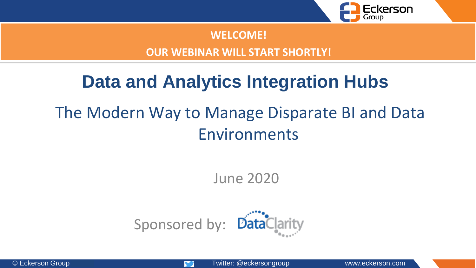

#### **WELCOME!**

#### **OUR WEBINAR WILL START SHORTLY!**

# **Data and Analytics Integration Hubs** The Modern Way to Manage Disparate BI and Data Environments

June 2020

Sponsored by:

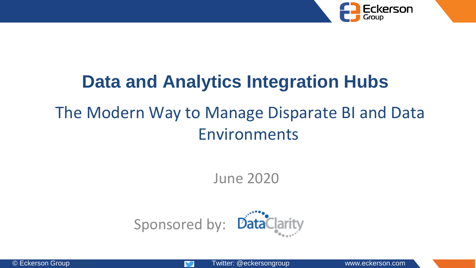

## **Data and Analytics Integration Hubs** The Modern Way to Manage Disparate BI and Data Environments

June 2020

Sponsored by:

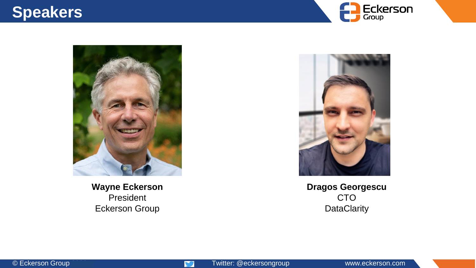### **Speakers**





**Wayne Eckerson** President Eckerson Group



**Dragos Georgescu** CTO **DataClarity** 

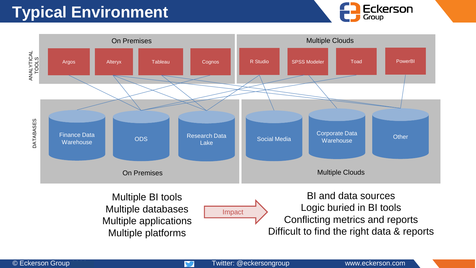## **Typical Environment**





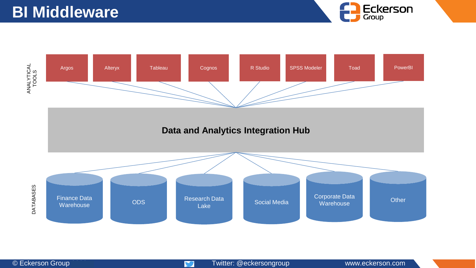

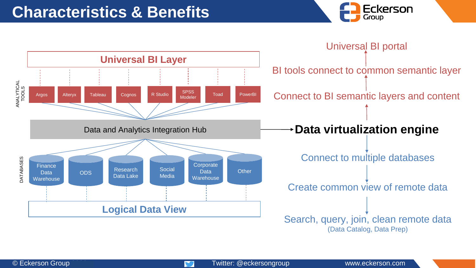

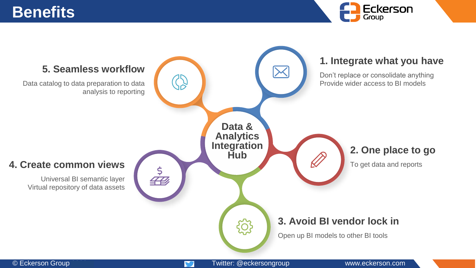### **Benefits**



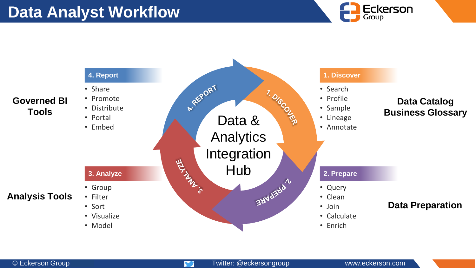### **Data Analyst Workflow**





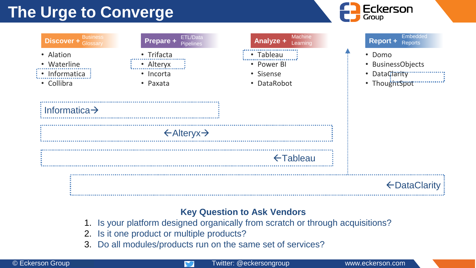## **The Urge to Converge**



| <b>Business</b><br><b>Discover + Glossary</b>                                                                      | ETL/Data<br>Prepare + Pipelines                  | <b>Machine</b><br><b>Analyze + Learning</b>         | <b>Embedded</b><br>Report + Reports                                           |
|--------------------------------------------------------------------------------------------------------------------|--------------------------------------------------|-----------------------------------------------------|-------------------------------------------------------------------------------|
| • Alation<br>• Waterline<br>$\vdots$ Informatica $\vdots$<br>• Collibra<br>$\frac{1}{2}$ Informatica $\rightarrow$ | • Trifacta<br>• Alteryx<br>• Incorta<br>• Paxata | • Tableau<br>• Power BI<br>• Sisense<br>• DataRobot | • Domo<br>• BusinessObjects<br>• DataClarity<br>• ThoughtSpot <b>Figure</b> 1 |
|                                                                                                                    | $\leftarrow$ Alteryx $\rightarrow$               |                                                     |                                                                               |
|                                                                                                                    |                                                  | $\xi$ Tableau                                       |                                                                               |
|                                                                                                                    |                                                  |                                                     | ← Data Clarity                                                                |

#### **Key Question to Ask Vendors**

- 1. Is your platform designed organically from scratch or through acquisitions?
- 2. Is it one product or multiple products?
- 3. Do all modules/products run on the same set of services?

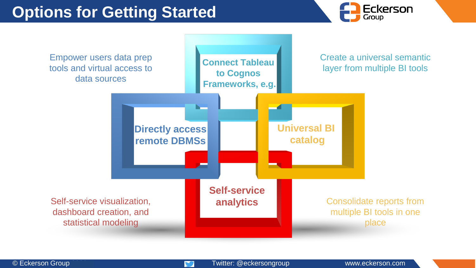



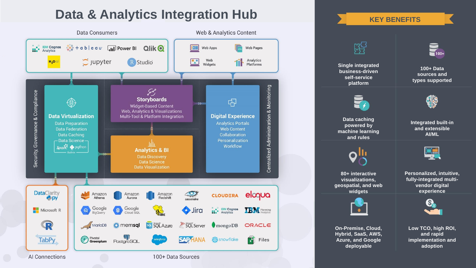#### **Data & Analytics Integration Hub**